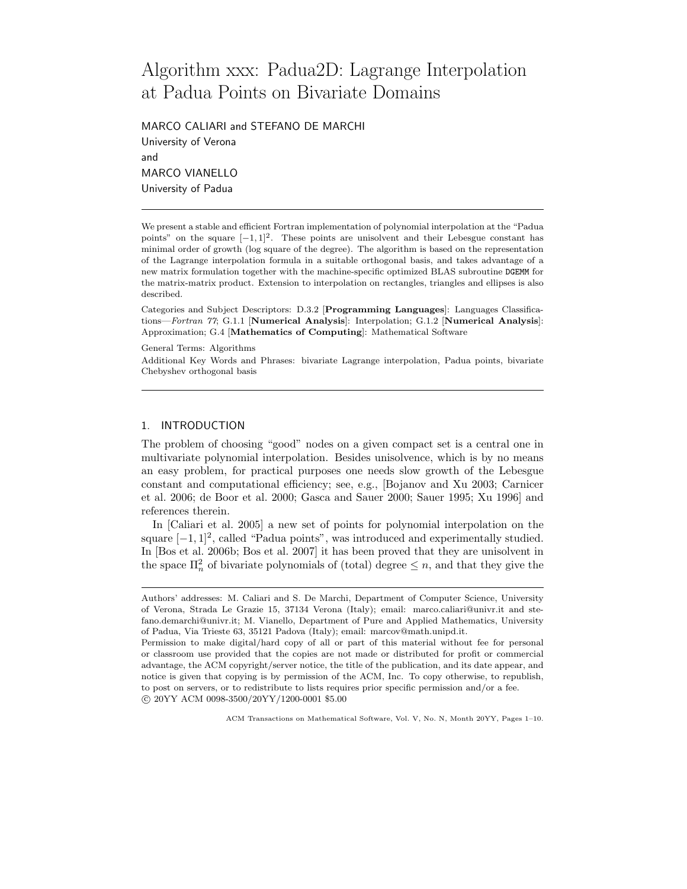# Algorithm xxx: Padua2D: Lagrange Interpolation at Padua Points on Bivariate Domains

MARCO CALIARI and STEFANO DE MARCHI University of Verona and MARCO VIANELLO University of Padua

We present a stable and efficient Fortran implementation of polynomial interpolation at the "Padua points" on the square  $[-1, 1]^2$ . These points are unisolvent and their Lebesgue constant has minimal order of growth (log square of the degree). The algorithm is based on the representation of the Lagrange interpolation formula in a suitable orthogonal basis, and takes advantage of a new matrix formulation together with the machine-specific optimized BLAS subroutine DGEMM for the matrix-matrix product. Extension to interpolation on rectangles, triangles and ellipses is also described.

Categories and Subject Descriptors: D.3.2 [Programming Languages]: Languages Classifications—Fortran 77; G.1.1 [Numerical Analysis]: Interpolation; G.1.2 [Numerical Analysis]: Approximation; G.4 [Mathematics of Computing]: Mathematical Software

General Terms: Algorithms

Additional Key Words and Phrases: bivariate Lagrange interpolation, Padua points, bivariate Chebyshev orthogonal basis

# 1. INTRODUCTION

The problem of choosing "good" nodes on a given compact set is a central one in multivariate polynomial interpolation. Besides unisolvence, which is by no means an easy problem, for practical purposes one needs slow growth of the Lebesgue constant and computational efficiency; see, e.g., [Bojanov and Xu 2003; Carnicer et al. 2006; de Boor et al. 2000; Gasca and Sauer 2000; Sauer 1995; Xu 1996] and references therein.

In [Caliari et al. 2005] a new set of points for polynomial interpolation on the square  $[-1, 1]^2$ , called "Padua points", was introduced and experimentally studied. In [Bos et al. 2006b; Bos et al. 2007] it has been proved that they are unisolvent in the space  $\Pi_n^2$  of bivariate polynomials of (total) degree  $\leq n$ , and that they give the

Authors' addresses: M. Caliari and S. De Marchi, Department of Computer Science, University of Verona, Strada Le Grazie 15, 37134 Verona (Italy); email: marco.caliari@univr.it and stefano.demarchi@univr.it; M. Vianello, Department of Pure and Applied Mathematics, University of Padua, Via Trieste 63, 35121 Padova (Italy); email: marcov@math.unipd.it.

Permission to make digital/hard copy of all or part of this material without fee for personal or classroom use provided that the copies are not made or distributed for profit or commercial advantage, the ACM copyright/server notice, the title of the publication, and its date appear, and notice is given that copying is by permission of the ACM, Inc. To copy otherwise, to republish, to post on servers, or to redistribute to lists requires prior specific permission and/or a fee. °c 20YY ACM 0098-3500/20YY/1200-0001 \$5.00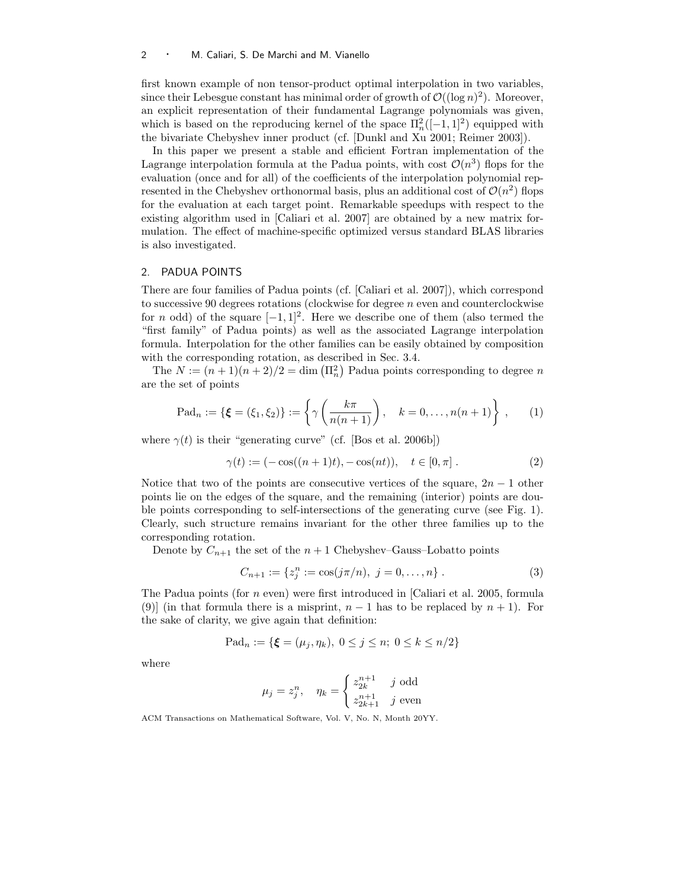first known example of non tensor-product optimal interpolation in two variables, since their Lebesgue constant has minimal order of growth of  $\mathcal{O}((\log n)^2)$ . Moreover, an explicit representation of their fundamental Lagrange polynomials was given, which is based on the reproducing kernel of the space  $\Pi_n^2([-1, 1]^2)$  equipped with the bivariate Chebyshev inner product (cf. [Dunkl and Xu 2001; Reimer 2003]).

In this paper we present a stable and efficient Fortran implementation of the Lagrange interpolation formula at the Padua points, with cost  $\mathcal{O}(n^3)$  flops for the evaluation (once and for all) of the coefficients of the interpolation polynomial represented in the Chebyshev orthonormal basis, plus an additional cost of  $\mathcal{O}(n^2)$  flops for the evaluation at each target point. Remarkable speedups with respect to the existing algorithm used in [Caliari et al. 2007] are obtained by a new matrix formulation. The effect of machine-specific optimized versus standard BLAS libraries is also investigated.

# 2. PADUA POINTS

There are four families of Padua points (cf. [Caliari et al. 2007]), which correspond to successive 90 degrees rotations (clockwise for degree  $n$  even and counterclockwise for *n* odd) of the square  $[-1, 1]^2$ . Here we describe one of them (also termed the "first family" of Padua points) as well as the associated Lagrange interpolation formula. Interpolation for the other families can be easily obtained by composition with the corresponding rotation, as described in Sec. 3.4.

The  $N := (n+1)(n+2)/2 = \dim(\Pi_n^2)$  Padua points corresponding to degree n are the set of points

$$
\text{Pad}_n := \{ \xi = (\xi_1, \xi_2) \} := \left\{ \gamma \left( \frac{k\pi}{n(n+1)} \right), \quad k = 0, \dots, n(n+1) \right\}, \tag{1}
$$

where  $\gamma(t)$  is their "generating curve" (cf. [Bos et al. 2006b])

$$
\gamma(t) := (-\cos((n+1)t), -\cos(nt)), \quad t \in [0, \pi]. \tag{2}
$$

Notice that two of the points are consecutive vertices of the square,  $2n - 1$  other points lie on the edges of the square, and the remaining (interior) points are double points corresponding to self-intersections of the generating curve (see Fig. 1). Clearly, such structure remains invariant for the other three families up to the corresponding rotation.

Denote by  $C_{n+1}$  the set of the  $n+1$  Chebyshev–Gauss–Lobatto points

$$
C_{n+1} := \{ z_j^n := \cos(j\pi/n), \ j = 0, \dots, n \} . \tag{3}
$$

The Padua points (for  $n$  even) were first introduced in [Caliari et al. 2005, formula (9)] (in that formula there is a misprint,  $n-1$  has to be replaced by  $n+1$ ). For the sake of clarity, we give again that definition:

$$
\text{Pad}_n := \{ \xi = (\mu_j, \eta_k), \ 0 \le j \le n; \ 0 \le k \le n/2 \}
$$

where

$$
\mu_j = z_j^n, \quad \eta_k = \begin{cases} z_{2k}^{n+1} & j \text{ odd} \\ z_{2k+1}^{n+1} & j \text{ even} \end{cases}
$$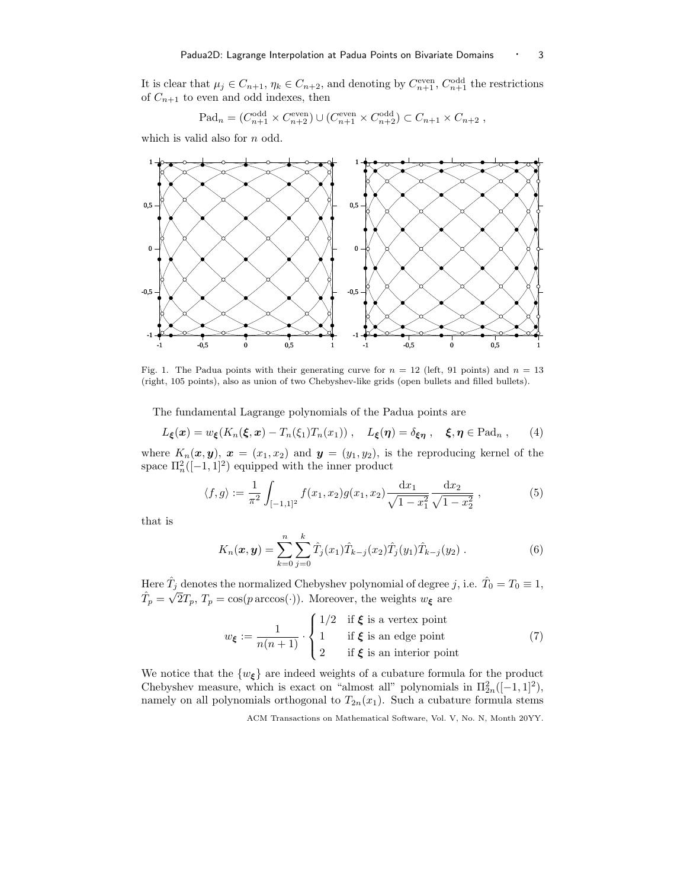It is clear that  $\mu_j \in C_{n+1}, \eta_k \in C_{n+2}$ , and denoting by  $C_{n+1}^{\text{even}}, C_{n+1}^{\text{odd}}$  the restrictions of  $C_{n+1}$  to even and odd indexes, then

$$
\text{Pad}_n = (C_{n+1}^{\text{odd}} \times C_{n+2}^{\text{even}}) \cup (C_{n+1}^{\text{even}} \times C_{n+2}^{\text{odd}}) \subset C_{n+1} \times C_{n+2} ,
$$

which is valid also for  $n$  odd.



Fig. 1. The Padua points with their generating curve for  $n = 12$  (left, 91 points) and  $n = 13$ (right, 105 points), also as union of two Chebyshev-like grids (open bullets and filled bullets).

The fundamental Lagrange polynomials of the Padua points are

$$
L_{\xi}(\boldsymbol{x}) = w_{\xi}(K_n(\xi, \boldsymbol{x}) - T_n(\xi_1)T_n(x_1)), \quad L_{\xi}(\boldsymbol{\eta}) = \delta_{\xi\boldsymbol{\eta}} , \quad \xi, \boldsymbol{\eta} \in \text{Pad}_n , \qquad (4)
$$

where  $K_n(\boldsymbol{x}, \boldsymbol{y}), \boldsymbol{x} = (x_1, x_2)$  and  $\boldsymbol{y} = (y_1, y_2)$ , is the reproducing kernel of the space  $\Pi_n^2([-1, 1]^2)$  equipped with the inner product

$$
\langle f, g \rangle := \frac{1}{\pi^2} \int_{[-1,1]^2} f(x_1, x_2) g(x_1, x_2) \frac{\mathrm{d}x_1}{\sqrt{1 - x_1^2}} \frac{\mathrm{d}x_2}{\sqrt{1 - x_2^2}}, \tag{5}
$$

that is

$$
K_n(\boldsymbol{x}, \boldsymbol{y}) = \sum_{k=0}^n \sum_{j=0}^k \hat{T}_j(x_1) \hat{T}_{k-j}(x_2) \hat{T}_j(y_1) \hat{T}_{k-j}(y_2).
$$
 (6)

Here  $\hat{T}_j$  denotes the normalized Chebyshev polynomial of degree j, i.e.  $\hat{T}_0 = T_0 \equiv 1$ ,  $\hat{T}_p = \sqrt{2}T_p$ ,  $T_p = \cos(p \arccos(\cdot))$ . Moreover, the weights  $w_{\xi}$  are

$$
w_{\xi} := \frac{1}{n(n+1)} \cdot \begin{cases} 1/2 & \text{if } \xi \text{ is a vertex point} \\ 1 & \text{if } \xi \text{ is an edge point} \\ 2 & \text{if } \xi \text{ is an interior point} \end{cases} \tag{7}
$$

We notice that the  $\{w_{\xi}\}\$ are indeed weights of a cubature formula for the product Chebyshev measure, which is exact on "almost all" polynomials in  $\Pi_{2n}^2([-1,1]^2)$ , namely on all polynomials orthogonal to  $T_{2n}(x_1)$ . Such a cubature formula stems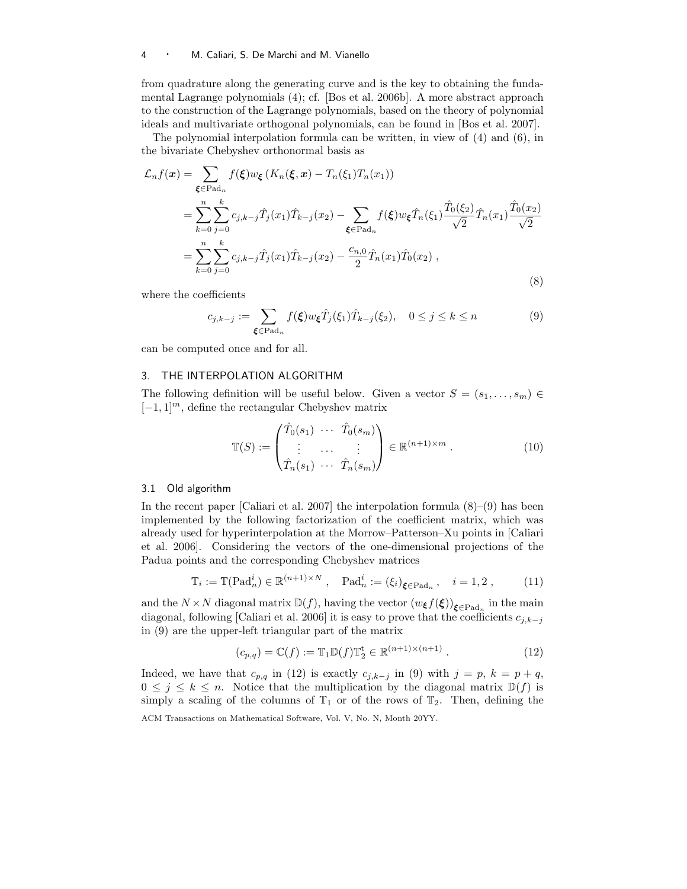#### <sup>4</sup> · M. Caliari, S. De Marchi and M. Vianello

from quadrature along the generating curve and is the key to obtaining the fundamental Lagrange polynomials (4); cf. [Bos et al. 2006b]. A more abstract approach to the construction of the Lagrange polynomials, based on the theory of polynomial ideals and multivariate orthogonal polynomials, can be found in [Bos et al. 2007].

The polynomial interpolation formula can be written, in view of (4) and (6), in the bivariate Chebyshev orthonormal basis as

$$
\mathcal{L}_n f(\mathbf{x}) = \sum_{\xi \in \text{Pad}_n} f(\xi) w_{\xi} (K_n(\xi, \mathbf{x}) - T_n(\xi_1) T_n(x_1))
$$
  
\n
$$
= \sum_{k=0}^n \sum_{j=0}^k c_{j,k-j} \hat{T}_j(x_1) \hat{T}_{k-j}(x_2) - \sum_{\xi \in \text{Pad}_n} f(\xi) w_{\xi} \hat{T}_n(\xi_1) \frac{\hat{T}_0(\xi_2)}{\sqrt{2}} \hat{T}_n(x_1) \frac{\hat{T}_0(x_2)}{\sqrt{2}}
$$
  
\n
$$
= \sum_{k=0}^n \sum_{j=0}^k c_{j,k-j} \hat{T}_j(x_1) \hat{T}_{k-j}(x_2) - \frac{c_{n,0}}{2} \hat{T}_n(x_1) \hat{T}_0(x_2), \qquad (8)
$$

where the coefficients

$$
c_{j,k-j} := \sum_{\xi \in \text{Pad}_n} f(\xi) w_{\xi} \hat{T}_j(\xi_1) \hat{T}_{k-j}(\xi_2), \quad 0 \le j \le k \le n
$$
\n(9)

can be computed once and for all.

#### 3. THE INTERPOLATION ALGORITHM

The following definition will be useful below. Given a vector  $S = (s_1, \ldots, s_m)$  $[-1, 1]^m$ , define the rectangular Chebyshev matrix

$$
\mathbb{T}(S) := \begin{pmatrix} \hat{T}_0(s_1) & \cdots & \hat{T}_0(s_m) \\ \vdots & \cdots & \vdots \\ \hat{T}_n(s_1) & \cdots & \hat{T}_n(s_m) \end{pmatrix} \in \mathbb{R}^{(n+1)\times m} .
$$
 (10)

#### 3.1 Old algorithm

In the recent paper [Caliari et al. 2007] the interpolation formula  $(8)$ – $(9)$  has been implemented by the following factorization of the coefficient matrix, which was already used for hyperinterpolation at the Morrow–Patterson–Xu points in [Caliari et al. 2006]. Considering the vectors of the one-dimensional projections of the Padua points and the corresponding Chebyshev matrices

$$
\mathbb{T}_i := \mathbb{T}(\mathrm{Pad}_n^i) \in \mathbb{R}^{(n+1) \times N}, \quad \mathrm{Pad}_n^i := (\xi_i)_{\xi \in \mathrm{Pad}_n}, \quad i = 1, 2, \tag{11}
$$

and the  $N \times N$  diagonal matrix  $\mathbb{D}(f)$ , having the vector  $(w_{\xi} f(\xi))_{\xi \in \text{Pad}_n}$  in the main diagonal, following [Caliari et al. 2006] it is easy to prove that the coefficients  $c_{i,k-j}$ in (9) are the upper-left triangular part of the matrix

$$
(c_{p,q}) = \mathbb{C}(f) := \mathbb{T}_1 \mathbb{D}(f) \mathbb{T}_2^{\mathbf{t}} \in \mathbb{R}^{(n+1)\times(n+1)} . \tag{12}
$$

Indeed, we have that  $c_{p,q}$  in (12) is exactly  $c_{j,k-j}$  in (9) with  $j = p, k = p + q$ ,  $0 \leq j \leq k \leq n$ . Notice that the multiplication by the diagonal matrix  $\mathbb{D}(f)$  is simply a scaling of the columns of  $\mathbb{T}_1$  or of the rows of  $\mathbb{T}_2$ . Then, defining the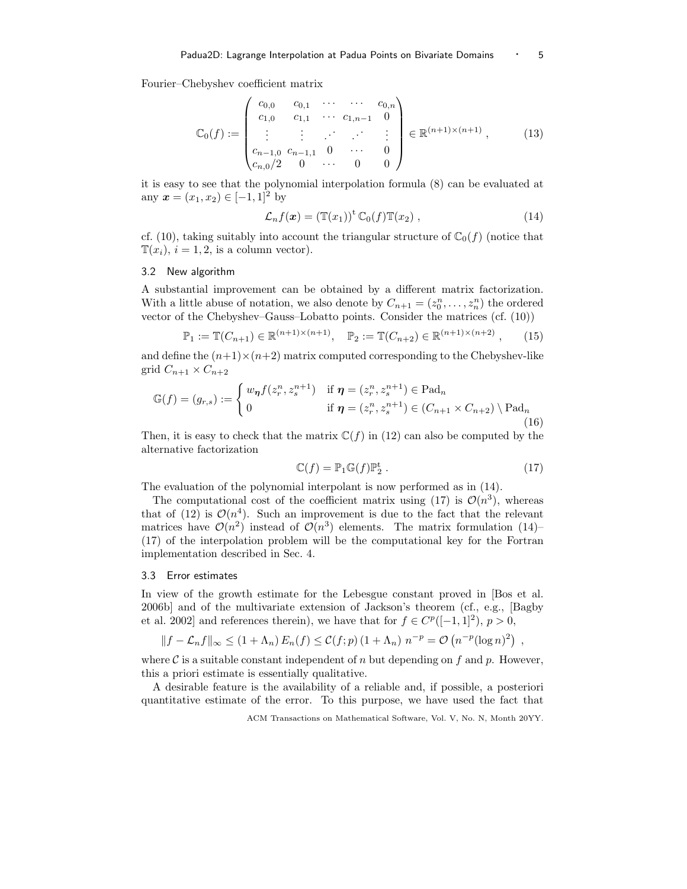Fourier–Chebyshev coefficient matrix

$$
\mathbb{C}_0(f) := \begin{pmatrix} c_{0,0} & c_{0,1} & \cdots & \cdots & c_{0,n} \\ c_{1,0} & c_{1,1} & \cdots & c_{1,n-1} & 0 \\ \vdots & \vdots & \ddots & \vdots & \vdots \\ c_{n-1,0} & c_{n-1,1} & 0 & \cdots & 0 \\ c_{n,0}/2 & 0 & \cdots & 0 & 0 \end{pmatrix} \in \mathbb{R}^{(n+1)\times(n+1)},
$$
(13)

it is easy to see that the polynomial interpolation formula (8) can be evaluated at any  $x = (x_1, x_2) \in [-1, 1]^2$  by

$$
\mathcal{L}_n f(\boldsymbol{x}) = \left(\mathbb{T}(x_1)\right)^{\mathrm{t}} \mathbb{C}_0(f) \mathbb{T}(x_2) , \qquad (14)
$$

cf. (10), taking suitably into account the triangular structure of  $\mathbb{C}_0(f)$  (notice that  $\mathbb{T}(x_i), i = 1, 2$ , is a column vector).

### 3.2 New algorithm

A substantial improvement can be obtained by a different matrix factorization. With a little abuse of notation, we also denote by  $C_{n+1} = (z_0^n, \ldots, z_n^n)$  the ordered vector of the Chebyshev–Gauss–Lobatto points. Consider the matrices (cf. (10))

$$
\mathbb{P}_1 := \mathbb{T}(C_{n+1}) \in \mathbb{R}^{(n+1)\times(n+1)}, \quad \mathbb{P}_2 := \mathbb{T}(C_{n+2}) \in \mathbb{R}^{(n+1)\times(n+2)}, \tag{15}
$$

and define the  $(n+1)\times(n+2)$  matrix computed corresponding to the Chebyshev-like grid  $C_{n+1} \times C_{n+2}$ 

$$
\mathbb{G}(f) = (g_{r,s}) := \begin{cases} w_{\pmb{\eta}} f(z_r^n, z_s^{n+1}) & \text{if } \pmb{\eta} = (z_r^n, z_s^{n+1}) \in \text{Pad}_n \\ 0 & \text{if } \pmb{\eta} = (z_r^n, z_s^{n+1}) \in (C_{n+1} \times C_{n+2}) \setminus \text{Pad}_n \\ (16) \end{cases}
$$

Then, it is easy to check that the matrix  $\mathbb{C}(f)$  in (12) can also be computed by the alternative factorization

$$
\mathbb{C}(f) = \mathbb{P}_1 \mathbb{G}(f) \mathbb{P}_2^{\mathbf{t}}.
$$
 (17)

The evaluation of the polynomial interpolant is now performed as in (14).

The computational cost of the coefficient matrix using (17) is  $\mathcal{O}(n^3)$ , whereas that of (12) is  $\mathcal{O}(n^4)$ . Such an improvement is due to the fact that the relevant matrices have  $\mathcal{O}(n^2)$  instead of  $\mathcal{O}(n^3)$  elements. The matrix formulation (14)– (17) of the interpolation problem will be the computational key for the Fortran implementation described in Sec. 4.

### 3.3 Error estimates

In view of the growth estimate for the Lebesgue constant proved in [Bos et al. 2006b] and of the multivariate extension of Jackson's theorem (cf., e.g., [Bagby et al. 2002] and references therein), we have that for  $f \in C^p([-1, 1]^2)$ ,  $p > 0$ ,

$$
||f - \mathcal{L}_n f||_{\infty} \le (1 + \Lambda_n) E_n(f) \le \mathcal{C}(f; p) (1 + \Lambda_n) n^{-p} = \mathcal{O}\left(n^{-p} (\log n)^2\right) ,
$$

where C is a suitable constant independent of n but depending on f and p. However, this a priori estimate is essentially qualitative.

A desirable feature is the availability of a reliable and, if possible, a posteriori quantitative estimate of the error. To this purpose, we have used the fact that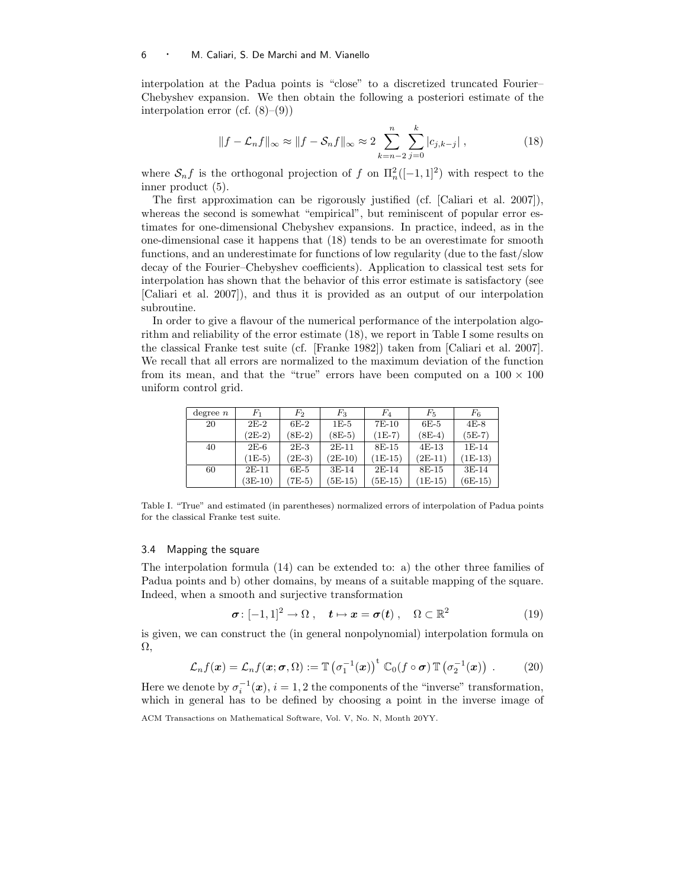#### <sup>6</sup> · M. Caliari, S. De Marchi and M. Vianello

interpolation at the Padua points is "close" to a discretized truncated Fourier– Chebyshev expansion. We then obtain the following a posteriori estimate of the interpolation error (cf.  $(8)$ – $(9)$ )

$$
||f - \mathcal{L}_n f||_{\infty} \approx ||f - S_n f||_{\infty} \approx 2 \sum_{k=n-2}^{n} \sum_{j=0}^{k} |c_{j,k-j}|,
$$
 (18)

where  $S_n f$  is the orthogonal projection of f on  $\prod_n^2([-1,1]^2)$  with respect to the inner product (5).

The first approximation can be rigorously justified (cf. [Caliari et al. 2007]), whereas the second is somewhat "empirical", but reminiscent of popular error estimates for one-dimensional Chebyshev expansions. In practice, indeed, as in the one-dimensional case it happens that (18) tends to be an overestimate for smooth functions, and an underestimate for functions of low regularity (due to the fast/slow decay of the Fourier–Chebyshev coefficients). Application to classical test sets for interpolation has shown that the behavior of this error estimate is satisfactory (see [Caliari et al. 2007]), and thus it is provided as an output of our interpolation subroutine.

In order to give a flavour of the numerical performance of the interpolation algorithm and reliability of the error estimate (18), we report in Table I some results on the classical Franke test suite (cf. [Franke 1982]) taken from [Caliari et al. 2007]. We recall that all errors are normalized to the maximum deviation of the function from its mean, and that the "true" errors have been computed on a  $100 \times 100$ uniform control grid.

| degree $n$ | $_{F_{\rm 1}}$ | $F_2$    | $F_3$     | $F_{4}$   | $F_{5}$   | $\mathbb{F}_6$ |
|------------|----------------|----------|-----------|-----------|-----------|----------------|
| 20         | $2E-2$         | $6E-2$   | $1E-5$    | $7E-10$   | $6E-5$    | $4E-8$         |
|            | $(2E-2)$       | $(8E-2)$ | $(8E-5)$  | $(1E-7)$  | $(8E-4)$  | $(5E-7)$       |
| 40         | $2E-6$         | $2E-3$   | $2E-11$   | 8E-15     | $4E-13$   | $1E-14$        |
|            | $(1E-5)$       | $(2E-3)$ | $(2E-10)$ | $(1E-15)$ | $(2E-11)$ | $(1E-13)$      |
| 60         | $2E-11$        | $6E-5$   | $3E-14$   | $2E-14$   | 8E-15     | $3E-14$        |
|            | $(3E-10)$      | $(7E-5)$ | $(5E-15)$ | $(5E-15)$ | $(1E-15)$ | $(6E-15)$      |

Table I. "True" and estimated (in parentheses) normalized errors of interpolation of Padua points for the classical Franke test suite.

#### 3.4 Mapping the square

The interpolation formula (14) can be extended to: a) the other three families of Padua points and b) other domains, by means of a suitable mapping of the square. Indeed, when a smooth and surjective transformation

$$
\boldsymbol{\sigma} \colon [-1,1]^2 \to \Omega \;, \quad \boldsymbol{t} \mapsto \boldsymbol{x} = \boldsymbol{\sigma}(\boldsymbol{t}) \;, \quad \Omega \subset \mathbb{R}^2 \tag{19}
$$

is given, we can construct the (in general nonpolynomial) interpolation formula on Ω,

$$
\mathcal{L}_n f(\boldsymbol{x}) = \mathcal{L}_n f(\boldsymbol{x}; \boldsymbol{\sigma}, \Omega) := \mathbb{T} \left( \sigma_1^{-1}(\boldsymbol{x}) \right)^{\mathrm{t}} \mathbb{C}_0(f \circ \boldsymbol{\sigma}) \mathbb{T} \left( \sigma_2^{-1}(\boldsymbol{x}) \right) . \tag{20}
$$

Here we denote by  $\sigma_i^{-1}(\boldsymbol{x}), i = 1, 2$  the components of the "inverse" transformation, which in general has to be defined by choosing a point in the inverse image of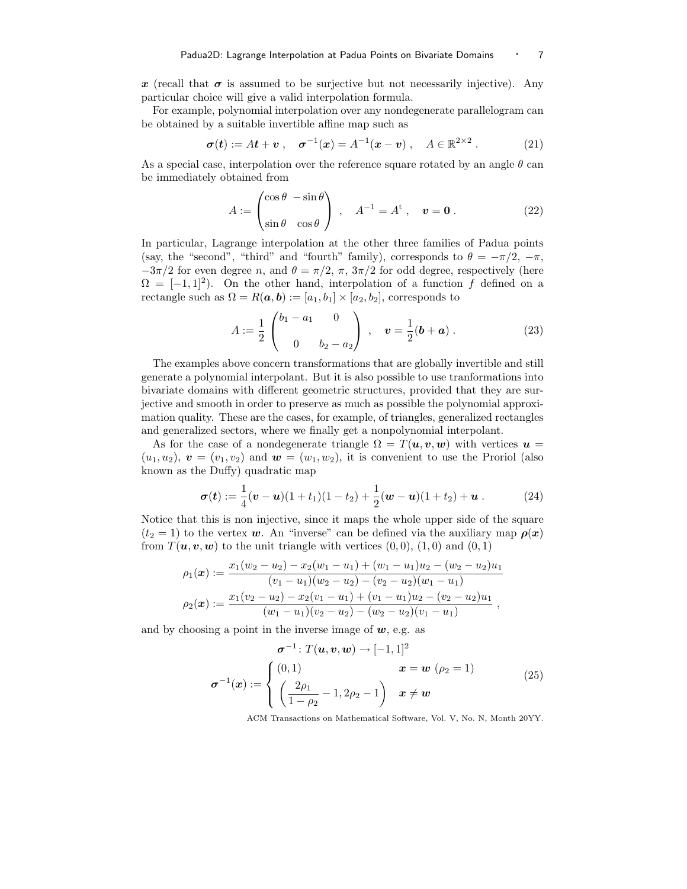x (recall that  $\sigma$  is assumed to be surjective but not necessarily injective). Any particular choice will give a valid interpolation formula.

For example, polynomial interpolation over any nondegenerate parallelogram can be obtained by a suitable invertible affine map such as

$$
\sigma(t) := At + v , \quad \sigma^{-1}(x) = A^{-1}(x - v) , \quad A \in \mathbb{R}^{2 \times 2} .
$$
 (21)

As a special case, interpolation over the reference square rotated by an angle  $\theta$  can be immediately obtained from

$$
A := \begin{pmatrix} \cos \theta & -\sin \theta \\ \sin \theta & \cos \theta \end{pmatrix} \,, \quad A^{-1} = A^{\text{t}} \,, \quad \boldsymbol{v} = \boldsymbol{0} \,. \tag{22}
$$

In particular, Lagrange interpolation at the other three families of Padua points (say, the "second", "third" and "fourth" family), corresponds to  $\theta = -\pi/2, -\pi$ ,  $-3\pi/2$  for even degree n, and  $\theta = \pi/2$ ,  $\pi$ ,  $3\pi/2$  for odd degree, respectively (here  $\Omega = [-1, 1]^2$ . On the other hand, interpolation of a function f defined on a rectangle such as  $\Omega = R(a, b) := [a_1, b_1] \times [a_2, b_2]$ , corresponds to

$$
A := \frac{1}{2} \begin{pmatrix} b_1 - a_1 & 0 \\ 0 & b_2 - a_2 \end{pmatrix} , \quad \mathbf{v} = \frac{1}{2} (\mathbf{b} + \mathbf{a}) . \tag{23}
$$

The examples above concern transformations that are globally invertible and still generate a polynomial interpolant. But it is also possible to use tranformations into bivariate domains with different geometric structures, provided that they are surjective and smooth in order to preserve as much as possible the polynomial approximation quality. These are the cases, for example, of triangles, generalized rectangles and generalized sectors, where we finally get a nonpolynomial interpolant.

As for the case of a nondegenerate triangle  $\Omega = T(\boldsymbol{u}, \boldsymbol{v}, \boldsymbol{w})$  with vertices  $\boldsymbol{u} =$  $(u_1, u_2)$ ,  $\mathbf{v} = (v_1, v_2)$  and  $\mathbf{w} = (w_1, w_2)$ , it is convenient to use the Proriol (also known as the Duffy) quadratic map

$$
\boldsymbol{\sigma}(t) := \frac{1}{4}(\boldsymbol{v} - \boldsymbol{u})(1+t_1)(1-t_2) + \frac{1}{2}(\boldsymbol{w} - \boldsymbol{u})(1+t_2) + \boldsymbol{u}.
$$
 (24)

Notice that this is non injective, since it maps the whole upper side of the square  $(t_2 = 1)$  to the vertex w. An "inverse" can be defined via the auxiliary map  $\rho(x)$ from  $T(\boldsymbol{u}, \boldsymbol{v}, \boldsymbol{w})$  to the unit triangle with vertices  $(0, 0), (1, 0)$  and  $(0, 1)$ 

$$
\rho_1(\boldsymbol{x}) := \frac{x_1(w_2 - u_2) - x_2(w_1 - u_1) + (w_1 - u_1)u_2 - (w_2 - u_2)u_1}{(v_1 - u_1)(w_2 - u_2) - (v_2 - u_2)(w_1 - u_1)}
$$

$$
\rho_2(\boldsymbol{x}) := \frac{x_1(v_2 - u_2) - x_2(v_1 - u_1) + (v_1 - u_1)u_2 - (v_2 - u_2)u_1}{(w_1 - u_1)(v_2 - u_2) - (w_2 - u_2)(v_1 - u_1)},
$$

and by choosing a point in the inverse image of  $w$ , e.g. as

$$
\sigma^{-1}: T(\mathbf{u}, \mathbf{v}, \mathbf{w}) \to [-1, 1]^2
$$

$$
\sigma^{-1}(\mathbf{x}) := \begin{cases} (0, 1) & \mathbf{x} = \mathbf{w} \ (\rho_2 = 1) \\ \left(\frac{2\rho_1}{1 - \rho_2} - 1, 2\rho_2 - 1\right) & \mathbf{x} \neq \mathbf{w} \end{cases}
$$
(25)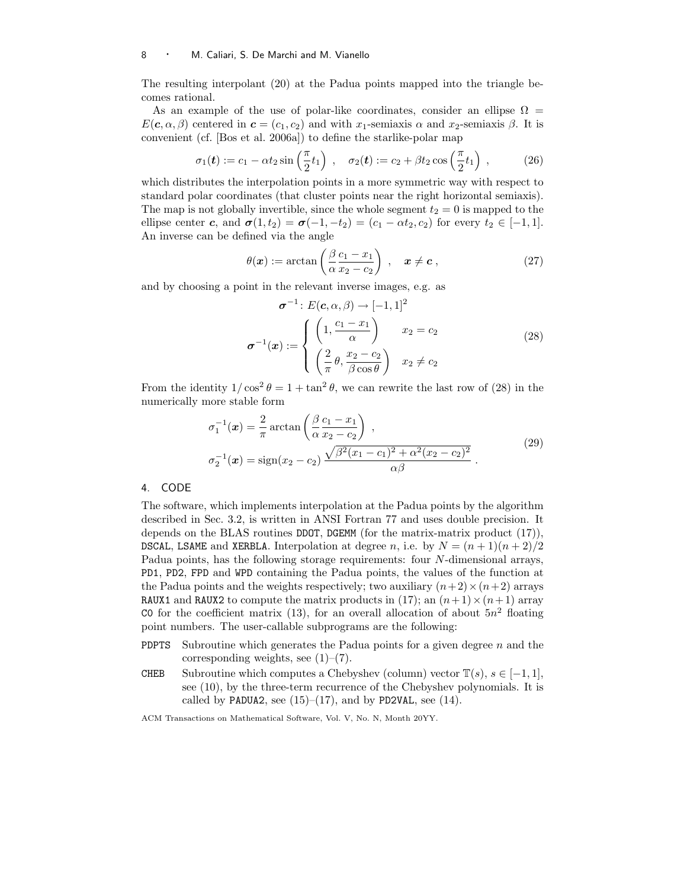#### 8 · M. Caliari, S. De Marchi and M. Vianello

The resulting interpolant (20) at the Padua points mapped into the triangle becomes rational.

As an example of the use of polar-like coordinates, consider an ellipse  $\Omega =$  $E(c, \alpha, \beta)$  centered in  $c = (c_1, c_2)$  and with x<sub>1</sub>-semiaxis  $\alpha$  and x<sub>2</sub>-semiaxis  $\beta$ . It is convenient (cf. [Bos et al. 2006a]) to define the starlike-polar map

$$
\sigma_1(\boldsymbol{t}) := c_1 - \alpha t_2 \sin\left(\frac{\pi}{2} t_1\right) , \quad \sigma_2(\boldsymbol{t}) := c_2 + \beta t_2 \cos\left(\frac{\pi}{2} t_1\right) , \tag{26}
$$

which distributes the interpolation points in a more symmetric way with respect to standard polar coordinates (that cluster points near the right horizontal semiaxis). The map is not globally invertible, since the whole segment  $t_2 = 0$  is mapped to the ellipse center c, and  $\sigma(1,t_2) = \sigma(-1,-t_2) = (c_1 - \alpha t_2, c_2)$  for every  $t_2 \in [-1,1]$ . An inverse can be defined via the angle

$$
\theta(\boldsymbol{x}) := \arctan\left(\frac{\beta c_1 - x_1}{\alpha x_2 - c_2}\right), \quad \boldsymbol{x} \neq \boldsymbol{c}, \tag{27}
$$

and by choosing a point in the relevant inverse images, e.g. as

$$
\sigma^{-1}: E(c, \alpha, \beta) \to [-1, 1]^2
$$

$$
\sigma^{-1}(x) := \begin{cases} \left(1, \frac{c_1 - x_1}{\alpha}\right) & x_2 = c_2\\ \left(\frac{2}{\pi} \theta, \frac{x_2 - c_2}{\beta \cos \theta}\right) & x_2 \neq c_2 \end{cases}
$$
(28)

From the identity  $1/\cos^2 \theta = 1 + \tan^2 \theta$ , we can rewrite the last row of (28) in the numerically more stable form

$$
\sigma_1^{-1}(\mathbf{x}) = \frac{2}{\pi} \arctan\left(\frac{\beta c_1 - x_1}{\alpha x_2 - c_2}\right),
$$
  
\n
$$
\sigma_2^{-1}(\mathbf{x}) = \text{sign}(x_2 - c_2) \frac{\sqrt{\beta^2 (x_1 - c_1)^2 + \alpha^2 (x_2 - c_2)^2}}{\alpha \beta}.
$$
\n(29)

# 4. CODE

The software, which implements interpolation at the Padua points by the algorithm described in Sec. 3.2, is written in ANSI Fortran 77 and uses double precision. It depends on the BLAS routines DDOT, DGEMM (for the matrix-matrix product (17)), DSCAL, LSAME and XERBLA. Interpolation at degree n, i.e. by  $N = (n + 1)(n + 2)/2$ Padua points, has the following storage requirements: four N-dimensional arrays, PD1, PD2, FPD and WPD containing the Padua points, the values of the function at the Padua points and the weights respectively; two auxiliary  $(n+2) \times (n+2)$  arrays RAUX1 and RAUX2 to compute the matrix products in (17); an  $(n+1)\times(n+1)$  array CO for the coefficient matrix (13), for an overall allocation of about  $5n^2$  floating point numbers. The user-callable subprograms are the following:

- **PDPTS** Subroutine which generates the Padua points for a given degree  $n$  and the corresponding weights, see  $(1)-(7)$ .
- CHEB Subroutine which computes a Chebyshev (column) vector  $\mathbb{T}(s), s \in [-1, 1]$ , see (10), by the three-term recurrence of the Chebyshev polynomials. It is called by PADUA2, see  $(15)–(17)$ , and by PD2VAL, see  $(14)$ .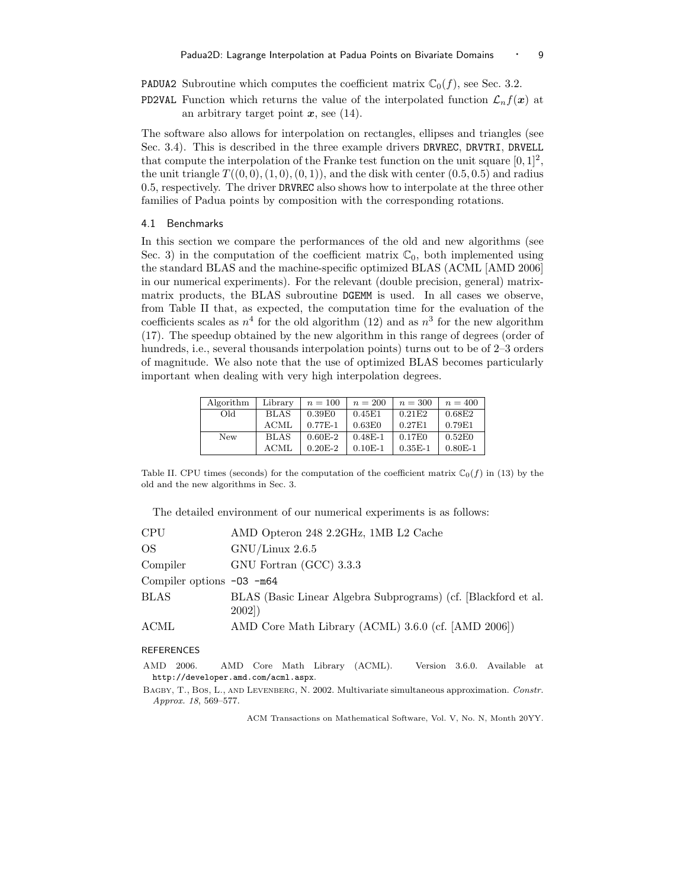**PADUA2** Subroutine which computes the coefficient matrix  $\mathbb{C}_0(f)$ , see Sec. 3.2.

**PD2VAL** Function which returns the value of the interpolated function  $\mathcal{L}_n f(x)$  at an arbitrary target point  $x$ , see (14).

The software also allows for interpolation on rectangles, ellipses and triangles (see Sec. 3.4). This is described in the three example drivers DRVREC, DRVTRI, DRVELL that compute the interpolation of the Franke test function on the unit square  $[0, 1]^2$ , the unit triangle  $T((0, 0), (1, 0), (0, 1))$ , and the disk with center  $(0.5, 0.5)$  and radius 0.5, respectively. The driver DRVREC also shows how to interpolate at the three other families of Padua points by composition with the corresponding rotations.

# 4.1 Benchmarks

In this section we compare the performances of the old and new algorithms (see Sec. 3) in the computation of the coefficient matrix  $\mathbb{C}_0$ , both implemented using the standard BLAS and the machine-specific optimized BLAS (ACML [AMD 2006] in our numerical experiments). For the relevant (double precision, general) matrixmatrix products, the BLAS subroutine DGEMM is used. In all cases we observe, from Table II that, as expected, the computation time for the evaluation of the coefficients scales as  $n^4$  for the old algorithm (12) and as  $n^3$  for the new algorithm (17). The speedup obtained by the new algorithm in this range of degrees (order of hundreds, i.e., several thousands interpolation points) turns out to be of 2–3 orders of magnitude. We also note that the use of optimized BLAS becomes particularly important when dealing with very high interpolation degrees.

| Algorithm | Library     | $n = 100$   | $n=200$   | $n = 300$ | $n = 400$ |
|-----------|-------------|-------------|-----------|-----------|-----------|
| Old.      | <b>BLAS</b> | 0.39E0      | 0.45E1    | 0.21E2    | 0.68E2    |
|           | ACML        | $0.77E-1$   | 0.63E0    | 0.27E1    | 0.79E1    |
| New       | <b>BLAS</b> | $0.60E-2$   | $0.48E-1$ | 0.17E0    | 0.52E0    |
|           | <b>ACML</b> | $0.20E - 2$ | $0.10E-1$ | $0.35E-1$ | $0.80E-1$ |

Table II. CPU times (seconds) for the computation of the coefficient matrix  $\mathbb{C}_0(f)$  in (13) by the old and the new algorithms in Sec. 3.

The detailed environment of our numerical experiments is as follows:

| <b>CPU</b>                    | AMD Opteron 248 2.2GHz, 1MB L2 Cache                                   |
|-------------------------------|------------------------------------------------------------------------|
| OS.                           | GNU/Linux 2.6.5                                                        |
| Compiler                      | GNU Fortran (GCC) 3.3.3                                                |
| Compiler options $-03$ $-m64$ |                                                                        |
| <b>BLAS</b>                   | BLAS (Basic Linear Algebra Subprograms) (cf. Blackford et al.<br>2002) |
| ACML                          | AMD Core Math Library (ACML) 3.6.0 (cf. [AMD 2006])                    |

#### REFERENCES

AMD 2006. AMD Core Math Library (ACML). Version 3.6.0. Available at http://developer.amd.com/acml.aspx.

BAGBY, T., BOS, L., AND LEVENBERG, N. 2002. Multivariate simultaneous approximation. Constr. Approx. 18, 569–577.